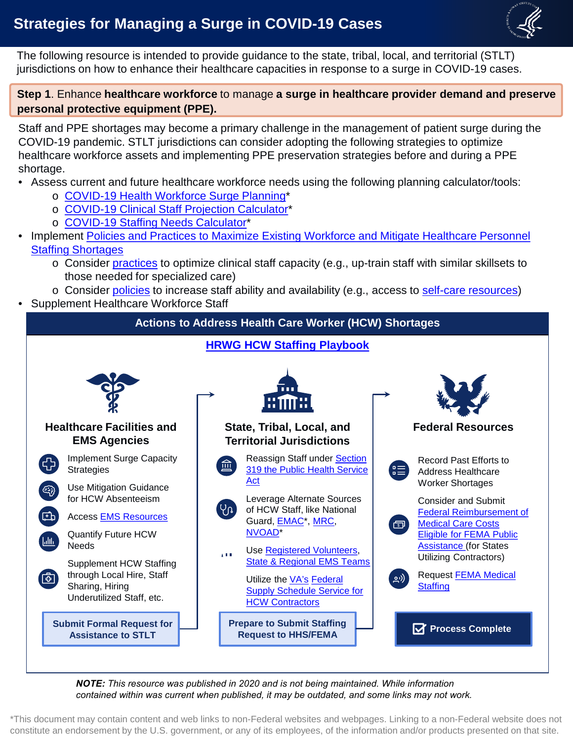## **Strategies for Managing a Surge in COVID-19 Cases**



 The following resource is intended to provide guidance to the state, tribal, local, and territorial (STLT) jurisdictions on how to enhance their healthcare capacities in response to a surge in COVID-19 cases.

 **Step 1**. Enhance **healthcare workforce** to manage **a surge in healthcare provider demand and preserve personal protective equipment (PPE).** 

 Staff and PPE shortages may become a primary challenge in the management of patient surge during the healthcare workforce assets and implementing PPE preservation strategies before and during a PPE COVID-19 pandemic. STLT jurisdictions can consider adopting the following strategies to optimize shortage.

- • Assess current and future healthcare workforce needs using the following planning calculator/tools:
	- o [COVID-19 Health Workforce Surge Planning\\*](https://healthforce.ucsf.edu/covid19)
	- o [COVID-19 Clinical Staff Projection Calculator](https://www.visier.com/clarity/staff-demand-calculator-for-covid-19-surge-planning/)\*
	- o [COVID-19 Staffing Needs Calculator\\*](https://www.covidstaffing.org/modules/staffing-needs/)
- [Implement Policies and Practices to Maximize Existing Workforce and Mitigate Healthcare Personnel](https://files.asprtracie.hhs.gov/documents/healthcare-workforce-strategies-for-managing-a-surge-in-healthcare-provider-demand.pdf) Staffing Shortages
	- $\,\circ\,$  Consider <u>practices</u> to optimize clinical staff capacity (e.g., up-train staff with similar skillsets to those needed for specialized care)
	- o Consider [policies](https://files.asprtracie.hhs.gov/documents/healthcare-workforce-strategies-for-managing-a-surge-in-healthcare-provider-demand.pdf) to increase staff ability and availability (e.g., access to [self-care resources\)](https://asprtracie.hhs.gov/technical-resources/120/covid-19-workforce-resilience-sustainability-resources/99#self-care-and-resilience-resources-for-responders-and-healthcare-workers)
- Supplement Healthcare Workforce Staff

**Actions to Address Health Care Worker (HCW) Shortages** 





*NOTE: This resource was published in 2020 and is not being maintained. While information contained within was current when published, it may be outdated, and some links may not work.*

 \*This document may contain content and web links to non-Federal websites and webpages. Linking to a non-Federal website does not constitute an endorsement by the U.S. government, or any of its employees, of the information and/or products presented on that site.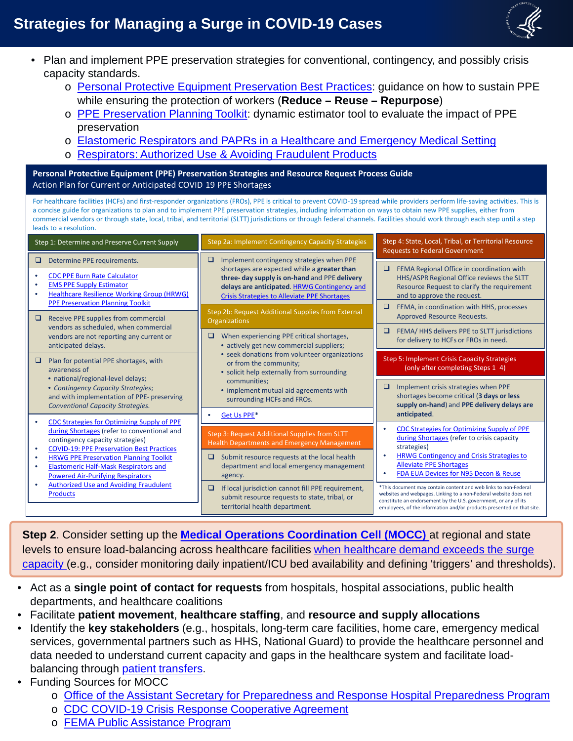## **Strategies for Managing a Surge in COVID-19 Cases**



- • Plan and implement PPE preservation strategies for conventional, contingency, and possibly crisis capacity standards.
	- o [Personal Protective Equipment Preservation Best Practices:](https://files.asprtracie.hhs.gov/documents/fema-fact-sheet-ppe-preservation-best-practices-update---14-july-2020.pdf) guidance on how to sustain PPE while ensuring the protection of workers (**Reduce – Reuse – Repurpose**)
	- o RIPE Preservation Planning Toolkit: dynamic estimator tool to evaluate the impact of PPE preservation
	- o [Elastomeric Respirators and PAPRs in a Healthcare and Emergency Medical Setting](https://files.asprtracie.hhs.gov/documents/elastomeric-half-mask-respirators-and-powered-air-purifying-respirators-in-healthcare-and-ems-settings-fact-sheet.pdf)
	- o [Respirators: Authorized Use & Avoiding Fraudulent Products](https://files.asprtracie.hhs.gov/documents/fact-sheet-fraudulent-respirators-8-july-2020.pdf)

 **Personal Protective Equipment (PPE) Preservation Strategies and Resource Request Process Guide**  - Action Plan for Current or Anticipated COVID 19 PPE Shortages

 For healthcare facilities (HCFs) and first-responder organizations (FROs), PPE is critical to prevent COVID-19 spread while providers perform life-saving activities. This is a concise guide for organizations to plan and to implement PPE preservation strategies, including information on ways to obtain new PPE supplies, either from commercial vendors or through state, local, tribal, and territorial (SLTT) jurisdictions or through federal channels. Facilities should work through each step until a step leads to a resolution.

| Implement contingency strategies when PPE<br>Determine PPE requirements.<br>u<br>❏<br>FEMA Regional Office in coordination with<br>❏<br>shortages are expected while a greater than<br><b>CDC PPE Burn Rate Calculator</b><br>٠<br>three- day supply is on-hand and PPE delivery<br>HHS/ASPR Regional Office reviews the SLTT<br><b>EMS PPE Supply Estimator</b><br>delays are anticipated. HRWG Contingency and<br>Resource Request to clarify the requirement<br><b>Healthcare Resilience Working Group (HRWG)</b><br>and to approve the request.<br><b>Crisis Strategies to Alleviate PPE Shortages</b><br><b>PPE Preservation Planning Toolkit</b><br>o.<br>FEMA, in coordination with HHS, processes<br>Step 2b: Request Additional Supplies from External<br>Approved Resource Requests.<br>Receive PPE supplies from commercial<br><b>Organizations</b><br>vendors as scheduled, when commercial<br>FEMA/HHS delivers PPE to SLTT jurisdictions<br>vendors are not reporting any current or<br>When experiencing PPE critical shortages,<br>u<br>for delivery to HCFs or FROs in need.<br>• actively get new commercial suppliers;<br>anticipated delays.<br>• seek donations from volunteer organizations<br><b>Step 5: Implement Crisis Capacity Strategies</b><br>Plan for potential PPE shortages, with<br>or from the community;<br>(only after completing Steps 1 4)<br>awareness of<br>• solicit help externally from surrounding<br>• national/regional-level delays;<br>communities;<br>Implement crisis strategies when PPE<br>❏<br>• Contingency Capacity Strategies;<br>• implement mutual aid agreements with<br>shortages become critical (3 days or less<br>and with implementation of PPE- preserving<br>surrounding HCFs and FROs.<br>supply on-hand) and PPE delivery delays are<br><b>Conventional Capacity Strategies.</b><br>anticipated.<br>Get Us PPE*<br><b>CDC Strategies for Optimizing Supply of PPE</b><br><b>CDC Strategies for Optimizing Supply of PPE</b><br>during Shortages (refer to conventional and<br>Step 3: Request Additional Supplies from SLTT<br>during Shortages (refer to crisis capacity<br>contingency capacity strategies)<br><b>Health Departments and Emergency Management</b><br>strategies)<br><b>COVID-19: PPE Preservation Best Practices</b><br>٠<br><b>HRWG Contingency and Crisis Strategies to</b><br>Submit resource requests at the local health<br><b>HRWG PPE Preservation Planning Toolkit</b><br>❏<br>$\bullet$<br><b>Alleviate PPE Shortages</b><br>department and local emergency management<br><b>Elastomeric Half-Mask Respirators and</b><br>٠<br>FDA EUA Devices for N95 Decon & Reuse<br><b>Powered Air-Purifying Respirators</b><br>agency.<br><b>Authorized Use and Avoiding Fraudulent</b><br>*This document may contain content and web links to non-Federal<br>If local jurisdiction cannot fill PPE requirement,<br>□<br><b>Products</b><br>websites and webpages. Linking to a non-Federal website does not<br>submit resource requests to state, tribal, or | Step 1: Determine and Preserve Current Supply | Step 2a: Implement Contingency Capacity Strategies | Step 4: State, Local, Tribal, or Territorial Resource<br><b>Requests to Federal Government</b> |
|----------------------------------------------------------------------------------------------------------------------------------------------------------------------------------------------------------------------------------------------------------------------------------------------------------------------------------------------------------------------------------------------------------------------------------------------------------------------------------------------------------------------------------------------------------------------------------------------------------------------------------------------------------------------------------------------------------------------------------------------------------------------------------------------------------------------------------------------------------------------------------------------------------------------------------------------------------------------------------------------------------------------------------------------------------------------------------------------------------------------------------------------------------------------------------------------------------------------------------------------------------------------------------------------------------------------------------------------------------------------------------------------------------------------------------------------------------------------------------------------------------------------------------------------------------------------------------------------------------------------------------------------------------------------------------------------------------------------------------------------------------------------------------------------------------------------------------------------------------------------------------------------------------------------------------------------------------------------------------------------------------------------------------------------------------------------------------------------------------------------------------------------------------------------------------------------------------------------------------------------------------------------------------------------------------------------------------------------------------------------------------------------------------------------------------------------------------------------------------------------------------------------------------------------------------------------------------------------------------------------------------------------------------------------------------------------------------------------------------------------------------------------------------------------------------------------------------------------------------------------------------------------------------------------------------------------------------------------------------------------------------------------------------------------------|-----------------------------------------------|----------------------------------------------------|------------------------------------------------------------------------------------------------|
|                                                                                                                                                                                                                                                                                                                                                                                                                                                                                                                                                                                                                                                                                                                                                                                                                                                                                                                                                                                                                                                                                                                                                                                                                                                                                                                                                                                                                                                                                                                                                                                                                                                                                                                                                                                                                                                                                                                                                                                                                                                                                                                                                                                                                                                                                                                                                                                                                                                                                                                                                                                                                                                                                                                                                                                                                                                                                                                                                                                                                                                    |                                               |                                                    |                                                                                                |
|                                                                                                                                                                                                                                                                                                                                                                                                                                                                                                                                                                                                                                                                                                                                                                                                                                                                                                                                                                                                                                                                                                                                                                                                                                                                                                                                                                                                                                                                                                                                                                                                                                                                                                                                                                                                                                                                                                                                                                                                                                                                                                                                                                                                                                                                                                                                                                                                                                                                                                                                                                                                                                                                                                                                                                                                                                                                                                                                                                                                                                                    |                                               |                                                    |                                                                                                |
|                                                                                                                                                                                                                                                                                                                                                                                                                                                                                                                                                                                                                                                                                                                                                                                                                                                                                                                                                                                                                                                                                                                                                                                                                                                                                                                                                                                                                                                                                                                                                                                                                                                                                                                                                                                                                                                                                                                                                                                                                                                                                                                                                                                                                                                                                                                                                                                                                                                                                                                                                                                                                                                                                                                                                                                                                                                                                                                                                                                                                                                    |                                               |                                                    |                                                                                                |
|                                                                                                                                                                                                                                                                                                                                                                                                                                                                                                                                                                                                                                                                                                                                                                                                                                                                                                                                                                                                                                                                                                                                                                                                                                                                                                                                                                                                                                                                                                                                                                                                                                                                                                                                                                                                                                                                                                                                                                                                                                                                                                                                                                                                                                                                                                                                                                                                                                                                                                                                                                                                                                                                                                                                                                                                                                                                                                                                                                                                                                                    |                                               |                                                    |                                                                                                |
|                                                                                                                                                                                                                                                                                                                                                                                                                                                                                                                                                                                                                                                                                                                                                                                                                                                                                                                                                                                                                                                                                                                                                                                                                                                                                                                                                                                                                                                                                                                                                                                                                                                                                                                                                                                                                                                                                                                                                                                                                                                                                                                                                                                                                                                                                                                                                                                                                                                                                                                                                                                                                                                                                                                                                                                                                                                                                                                                                                                                                                                    |                                               |                                                    |                                                                                                |
|                                                                                                                                                                                                                                                                                                                                                                                                                                                                                                                                                                                                                                                                                                                                                                                                                                                                                                                                                                                                                                                                                                                                                                                                                                                                                                                                                                                                                                                                                                                                                                                                                                                                                                                                                                                                                                                                                                                                                                                                                                                                                                                                                                                                                                                                                                                                                                                                                                                                                                                                                                                                                                                                                                                                                                                                                                                                                                                                                                                                                                                    |                                               |                                                    |                                                                                                |
|                                                                                                                                                                                                                                                                                                                                                                                                                                                                                                                                                                                                                                                                                                                                                                                                                                                                                                                                                                                                                                                                                                                                                                                                                                                                                                                                                                                                                                                                                                                                                                                                                                                                                                                                                                                                                                                                                                                                                                                                                                                                                                                                                                                                                                                                                                                                                                                                                                                                                                                                                                                                                                                                                                                                                                                                                                                                                                                                                                                                                                                    |                                               |                                                    |                                                                                                |
|                                                                                                                                                                                                                                                                                                                                                                                                                                                                                                                                                                                                                                                                                                                                                                                                                                                                                                                                                                                                                                                                                                                                                                                                                                                                                                                                                                                                                                                                                                                                                                                                                                                                                                                                                                                                                                                                                                                                                                                                                                                                                                                                                                                                                                                                                                                                                                                                                                                                                                                                                                                                                                                                                                                                                                                                                                                                                                                                                                                                                                                    |                                               |                                                    |                                                                                                |
| territorial health department.<br>employees, of the information and/or products presented on that site.                                                                                                                                                                                                                                                                                                                                                                                                                                                                                                                                                                                                                                                                                                                                                                                                                                                                                                                                                                                                                                                                                                                                                                                                                                                                                                                                                                                                                                                                                                                                                                                                                                                                                                                                                                                                                                                                                                                                                                                                                                                                                                                                                                                                                                                                                                                                                                                                                                                                                                                                                                                                                                                                                                                                                                                                                                                                                                                                            |                                               |                                                    | constitute an endorsement by the U.S. government, or any of its                                |

 - **Step 2**. Consider setting up the **[Medical Operations Coordination Cell \(MOCC\)](https://files.asprtracie.hhs.gov/documents/fema-mocc-toolkit.pdf)** at regional and state levels to ensure load-balancing across healthcare facilities when healthcare demand exceeds the surge [capacity \(e.g., consider monitoring daily inpatient/ICU bed availability and defining 'triggers' and thresho](https://files.asprtracie.hhs.gov/documents/critical-care-load-balancing-operational-template.pdf)lds).

- • Act as a **single point of contact for requests** from hospitals, hospital associations, public health departments, and healthcare coalitions
- Facilitate **patient movement**, **healthcare staffing**, and **resource and supply allocations**
- services, governmental partners such as HHS, National Guard) to provide the healthcare personnel and data needed to understand current capacity and gaps in the healthcare system and facilitate load-• Identify the **key stakeholders** (e.g., hospitals, long-term care facilities, home care, emergency medical balancing through [patient transfers.](https://www.cdc.gov/coronavirus/2019-ncov/hcp/relief-healthcare-facilities.html)
- Funding Sources for MOCC

f

- o [Office of the Assistant Secretary for Preparedness and Response Hospital Preparedness Program](https://www.hhs.gov/about/news/2020/03/24/hhs-provides-100-million-to-help-us-healthcare-systems-prepare-for-covid-19-patients.html)
- o [CDC COVID-19 Crisis Response Cooperative Agreement](https://www.cdc.gov/cpr/readiness/funding-covid.htm)
- o FEMA Public Assistance Program